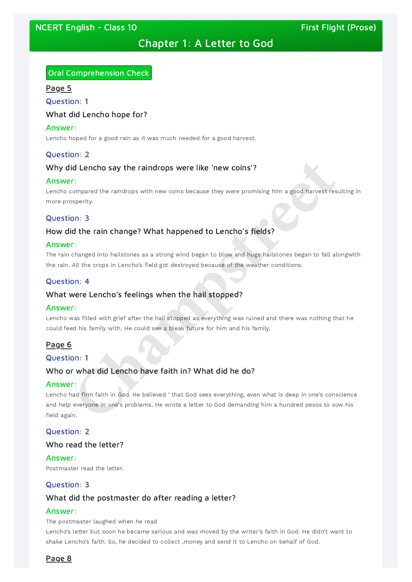# Chapter 1: A Letter to God

# Oral Comprehension Check

#### Page 5

Question: 1

### What did Lencho hope for?

#### Answer:

Lencho hoped for a good rain as it was much needed for a good harvest.

### Question: 2

### Why did Lencho say the raindrops were like 'new coins'?

#### Answer:

Lencho compared the raindrops with new coins because they were promising him a good harvest resulting in more prosperity.

### Question: 3

### How did the rain change? What happened to Lencho's fields?

#### Answer:

Lencho had firm faith in God. He believed ' that God sees everything, even what is deep in one's conscience and help everyone in one's problems. He wrote a letter to God demanding him a hundred pesos to sow his field again. **Champion of the raindrops were like 'new coins'?**<br> **Champion**<br> **Champs the raindrops with new coins because they were promising him a good harvest resperity.<br>
<b>Champs 3**<br> **Champs 3**<br> **Champs 3**<br> **Champs 3**<br> **Champs 3**<br> **C** 

The rain changed into hailstones as a strong wind began to blow and huge hailstones began to fall alongwith the rain. All the crops in Lencho's field got destroyed because of the weather conditions.

### Question: 4

### What were Lencho's feelings when the hail stopped?

#### Answer:

Lencho was filled with grief after the hail stopped as everything was ruined and there was nothing that he could feed his family with. He could see a bleak future for him and his family.

### Page 6

# Question: 1

### Who or what did Lencho have faith in? What did he do?

### Answer:

# Question: 2

### Who read the letter?

#### Answer:

Postmaster read the letter.

### Question: 3

# What did the postmaster do after reading a letter?

#### Answer:

The postmaster laughed when he read

Lencho's letter but soon he became serious and was moved by the writer's faith in God. He didn't want to shake Lencho's faith. So, he decided to collect ,money and send it to Lencho on behalf of God.

### Page 8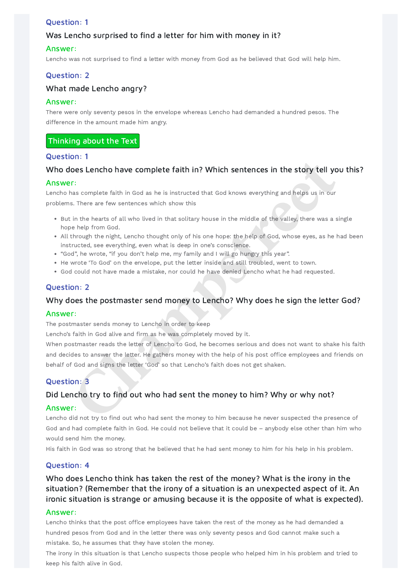# Question: 1

# Was Lencho surprised to find a letter for him with money in it?

### Answer:

Lencho was not surprised to find a letter with money from God as he believed that God will help him.

# Question: 2

### What made Lencho angry?

### Answer:

There were only seventy pesos in the envelope whereas Lencho had demanded a hundred pesos. The difference in the amount made him angry.

# Thinking about the Text

### Question: 1

# Who does Lencho have complete faith in? Which sentences in the story tell you this?

### Answer:

Lencho has complete faith in God as he is instructed that God knows everything and helps us in our problems. There are few sentences which show this

- But in the hearts of all who lived in that solitary house in the middle of the valley, there was a single hope help from God.
- All through the night, Lencho thought only of his one hope: the help of God, whose eyes, as he had been instructed, see everything, even what is deep in one's conscience.
- "God", he wrote, "if you don't help me, my family and I will go hungry this year".
- He wrote 'To God' on the envelope, put the letter inside and still troubled, went to town.
- God could not have made a mistake, nor could he have denied Lencho what he had requested.

When postmaster reads the letter of Lencho to God, he becomes serious and does not want to shake his faith and decides to answer the letter. He gathers money with the help of his post office employees and friends on behalf of God and signs the letter 'God' so that Lencho's faith does not get shaken. **Chapter 10**<br> **Chapter 20**<br> **Chapter 20**<br> **Chapter** and complete faith in God as he is instructed that God knows everything and helps us in our<br> **Character are few sentences** which show this<br>
in the hearts of all who lived

# Question: 2

# Why does the postmaster send money to Lencho? Why does he sign the letter God?

### Answer:

The postmaster sends money to Lencho in order to keep

Lencho's faith in God alive and firm as he was completely moved by it.

# Question: 3

# Did Lencho try to find out who had sent the money to him? Why or why not?

### Answer:

Lencho did not try to find out who had sent the money to him because he never suspected the presence of God and had complete faith in God. He could not believe that it could be – anybody else other than him who would send him the money.

His faith in God was so strong that he believed that he had sent money to him for his help in his problem.

#### Question: 4

Who does Lencho think has taken the rest of the money? What is the irony in the situation? (Remember that the irony of a situation is an unexpected aspect of it. An ironic situation is strange or amusing because it is the opposite of what is expected).

#### Answer:

Lencho thinks that the post office employees have taken the rest of the money as he had demanded a hundred pesos from God and in the letter there was only seventy pesos and God cannot make such a mistake. So, he assumes that they have stolen the money.

The irony in this situation is that Lencho suspects those people who helped him in his problem and tried to keep his faith alive in God.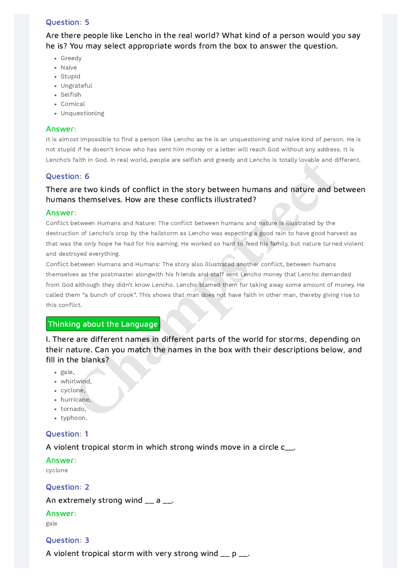# Question: 5

Are there people like Lencho in the real world? What kind of a person would you say he is? You may select appropriate words from the box to answer the question.

- Greedy
- Naive
- Stupid
- Ungrateful
- Selfish
- Comical
- Unquestioning

### Answer:

It is almost impossible to find a person like Lencho as he is an unquestioning and naive kind of person. He is not stupid if he doesn't know who has sent him money or a letter will reach God without any address. It is Lencho's faith in God. In real world, people are selfish and greedy and Lencho is totally lovable and different.

Conflict between Humans and Humans: The story also illustrated another conflict, between humans themselves as the postmaster alongwith his friends and staff sent Lencho money that Lencho demanded from God although they didn't know Lencho. Lencho blamed them for taking away some amount of money. He called them "a bunch of crook". This shows that man does not have faith in other man, thereby giving rise to this conflict. faith in God. In real world, people are seltish and greedy and Lencho is totally lovable and don: 6<br> **Character two kinds of conflict in the story between humans and nature and b**<br> **Character two kinds of conflict in the s** 

# Question: 6

# There are two kinds of conflict in the story between humans and nature and between humans themselves. How are these conflicts illustrated?

### Answer:

Conflict between Humans and Nature: The conflict between humans and nature is illustrated by the destruction of Lencho's crop by the hailstorm as Lencho was expecting a good rain to have good harvest as that was the only hope he had for his earning. He worked so hard to feed his family, but nature turned violent and destroyed everything.

# Thinking about the Language

I. There are different names in different parts of the world for storms, depending on their nature. Can you match the names in the box with their descriptions below, and fill in the blanks?

- gale,
- whirlwind,
- cyclone,
- hurricane,
- tornado,
- typhoon.

# Question: 1

# A violent tropical storm in which strong winds move in a circle c\_\_.

Answer:

cyclone

Question: 2

An extremely strong wind  $\equiv$  a  $\equiv$ .

Answer:

gale

Question: 3

A violent tropical storm with very strong wind  $p = p$ .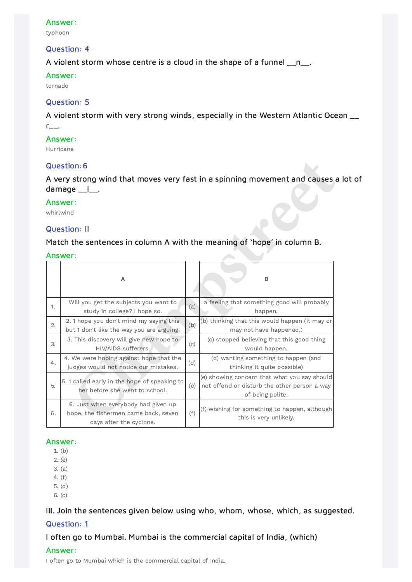### Answer:

typhoon

### Question: 4

A violent storm whose centre is a cloud in the shape of a funnel  $\Box$ n $\Box$ .

# Answer:

A violent storm with very strong winds, especially in the Western Atlantic Ocean  $\_\_$ r\_\_.

tornado

# Question: 5

### Answer:

Hurricane

# Question:6

A very strong wind that moves very fast in a spinning movement and causes a lot of damage \_\_l\_\_.

### Answer:

# Question: II

### Answer:

| Question:6                                                                                                |                                                                                                        |     |                                                                                                                  |  |  |  |  |  |
|-----------------------------------------------------------------------------------------------------------|--------------------------------------------------------------------------------------------------------|-----|------------------------------------------------------------------------------------------------------------------|--|--|--|--|--|
| A very strong wind that moves very fast in a spinning movement and causes a<br>damage _<br>$\blacksquare$ |                                                                                                        |     |                                                                                                                  |  |  |  |  |  |
| Answer:<br>whirlwind                                                                                      |                                                                                                        |     |                                                                                                                  |  |  |  |  |  |
| <b>Question: II</b>                                                                                       |                                                                                                        |     |                                                                                                                  |  |  |  |  |  |
| Match the sentences in column A with the meaning of 'hope' in column B.                                   |                                                                                                        |     |                                                                                                                  |  |  |  |  |  |
| Answer:                                                                                                   |                                                                                                        |     |                                                                                                                  |  |  |  |  |  |
|                                                                                                           | A                                                                                                      |     | B                                                                                                                |  |  |  |  |  |
| 1.                                                                                                        | Will you get the subjects you want to<br>study in college? I hope so.                                  | (a) | a feeling that something good will probably<br>happen.                                                           |  |  |  |  |  |
| 2.                                                                                                        | 2. 1 hope you don't mind my saying this<br>but 1 don't like the way you are arguing.                   | (b) | (b) thinking that this would happen (it may or<br>may not have happened.)                                        |  |  |  |  |  |
| 3.                                                                                                        | 3. This discovery will give new hope to<br>HIV/AIDS sufferers.                                         | (c) | (c) stopped believing that this good thing<br>would happen.                                                      |  |  |  |  |  |
| 4.                                                                                                        | 4. We were hoping against hope that the<br>judges would not notice our mistakes.                       | (d) | (d) wanting something to happen (and<br>thinking it quite possible)                                              |  |  |  |  |  |
| 5.                                                                                                        | 5. 1 called early in the hope of speaking to<br>her before she went to school.                         | (e) | (e) showing concern that what you say should<br>not offend or disturb the other person a way<br>of being polite. |  |  |  |  |  |
| 6.                                                                                                        | 6. Just when everybody had given up<br>hope, the fishermen came back, seven<br>days after the cyclone. | (f) | (f) wishing for something to happen, although<br>this is very unlikely.                                          |  |  |  |  |  |

#### Answer:

- 1. (b)
- 2. (e)
- 3. (a)
- 4. (f)
- 5. (d)
- 6. (c)

# III. Join the sentences given below using who, whom, whose, which, as suggested. Question: 1

I often go to Mumbai. Mumbai is the commercial capital of India, (which) Answer:

I often go to Mumbai which is the commercial capital of India.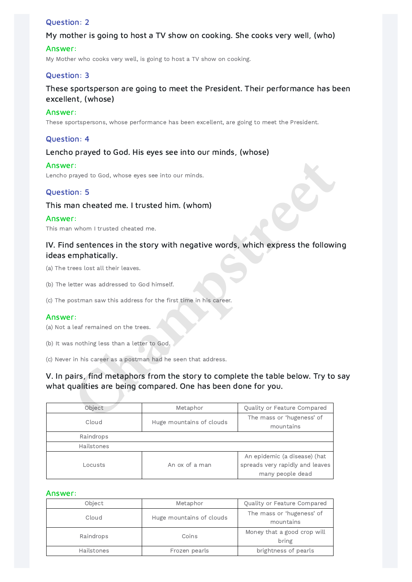# Question: 2

# My mother is going to host a TV show on cooking. She cooks very well, (who)

### Answer:

My Mother who cooks very well, is going to host a TV show on cooking.

# Question: 3

# These sportsperson are going to meet the President. Their performance has been excellent, (whose)

### Answer:

These sportspersons, whose performance has been excellent, are going to meet the President.

# Question: 4

# Lencho prayed to God. His eyes see into our minds, (whose)

#### Answer:

## Question: 5

## This man cheated me. I trusted him. (whom)

### Answer:

# IV. Find sentences in the story with negative words, which express the following ideas emphatically.

- (a) The trees lost all their leaves.
- (b) The letter was addressed to God himself.
- (c) The postman saw this address for the first time in his career.

### Answer:

- (a) Not a leaf remained on the trees.
- (b) It was nothing less than a letter to God.
- (c) Never in his career as a postman had he seen that address.

# V. In pairs, find metaphors from the story to complete the table below. Try to say what qualities are being compared. One has been done for you.

| Answer:<br>Lencho prayed to God, whose eyes see into our minds.    |                          |                                                                                     |  |  |  |  |  |
|--------------------------------------------------------------------|--------------------------|-------------------------------------------------------------------------------------|--|--|--|--|--|
| <b>Question: 5</b>                                                 |                          |                                                                                     |  |  |  |  |  |
| This man cheated me. I trusted him. (whom)                         |                          |                                                                                     |  |  |  |  |  |
| Answer:<br>This man whom I trusted cheated me.                     |                          |                                                                                     |  |  |  |  |  |
| ideas emphatically.                                                |                          | IV. Find sentences in the story with negative words, which express the followi      |  |  |  |  |  |
| (a) The trees lost all their leaves.                               |                          |                                                                                     |  |  |  |  |  |
| (b) The letter was addressed to God himself.                       |                          |                                                                                     |  |  |  |  |  |
| (c) The postman saw this address for the first time in his career. |                          |                                                                                     |  |  |  |  |  |
| Answer:<br>(a) Not a leaf remained on the trees.                   |                          |                                                                                     |  |  |  |  |  |
| (b) It was nothing less than a letter to God.                      |                          |                                                                                     |  |  |  |  |  |
| (c) Never in his career as a postman had he seen that address.     |                          |                                                                                     |  |  |  |  |  |
| what qualities are being compared. One has been done for you.      |                          | V. In pairs, find metaphors from the story to complete the table below. Try to      |  |  |  |  |  |
| Object                                                             | Metaphor                 | Quality or Feature Compared                                                         |  |  |  |  |  |
| Cloud                                                              | Huge mountains of clouds | The mass or 'hugeness' of<br>mountains                                              |  |  |  |  |  |
| Raindrops                                                          |                          |                                                                                     |  |  |  |  |  |
| Hailstones                                                         |                          |                                                                                     |  |  |  |  |  |
| Locusts                                                            | An ox of a man           | An epidemic (a disease) (hat<br>spreads very rapidly and leaves<br>many people dead |  |  |  |  |  |

#### Answer:

| Object     | Metaphor                 | Quality or Feature Compared            |
|------------|--------------------------|----------------------------------------|
| Cloud      | Huge mountains of clouds | The mass or 'hugeness' of<br>mountains |
| Raindrops  | Coins                    | Money that a good crop will<br>bring   |
| Hailstones | Frozen pearls            | brightness of pearls                   |